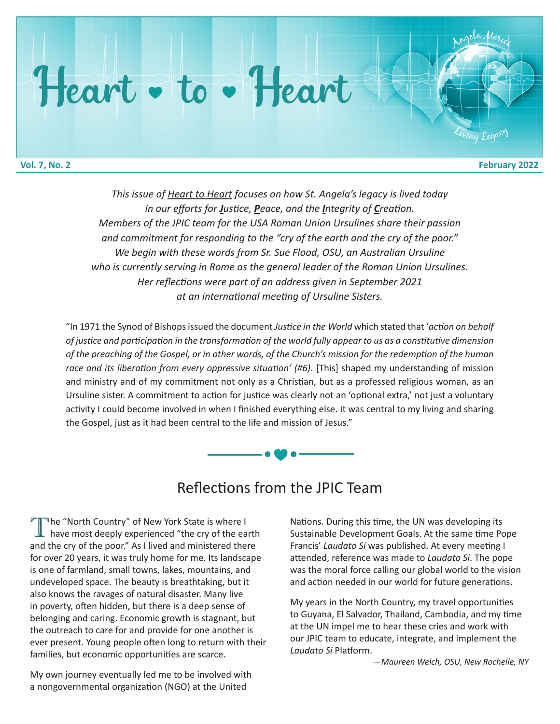## Heart • to • Heart

<sup>A</sup>ng<sup>e</sup>l<sup>a</sup> <sup>M</sup><sup>e</sup>ric<sup>i</sup>

ing Legac

*This issue of Heart to Heart focuses on how St. Angela's legacy is lived today in our efforts for Justice, Peace, and the Integrity of Creation. Members of the JPIC team for the USA Roman Union Ursulines share their passion and commitment for responding to the "cry of the earth and the cry of the poor." We begin with these words from Sr. Sue Flood, OSU, an Australian Ursuline who is currently serving in Rome as the general leader of the Roman Union Ursulines. Her reflections were part of an address given in September 2021 at an international meeting of Ursuline Sisters.*

"In 1971 the Synod of Bishops issued the document *Justice in the World* which stated that '*action on behalf of justice and participation in the transformation of the world fully appear to us as a constitutive dimension of the preaching of the Gospel, or in other words, of the Church's mission for the redemption of the human race and its liberation from every oppressive situation' (#6)*. [This] shaped my understanding of mission and ministry and of my commitment not only as a Christian, but as a professed religious woman, as an Ursuline sister. A commitment to action for justice was clearly not an 'optional extra,' not just a voluntary activity I could become involved in when I finished everything else. It was central to my living and sharing the Gospel, just as it had been central to the life and mission of Jesus."



## Reflections from the JPIC Team

The "North Country" of New York State is where I have most deeply experienced "the cry of the earth" and the cry of the poor." As I lived and ministered there for over 20 years, it was truly home for me. Its landscape is one of farmland, small towns, lakes, mountains, and undeveloped space. The beauty is breathtaking, but it also knows the ravages of natural disaster. Many live in poverty, often hidden, but there is a deep sense of belonging and caring. Economic growth is stagnant, but the outreach to care for and provide for one another is ever present. Young people often long to return with their families, but economic opportunities are scarce.

My own journey eventually led me to be involved with a nongovernmental organization (NGO) at the United

Nations. During this time, the UN was developing its Sustainable Development Goals. At the same time Pope Francis' *Laudato Si* was published. At every meeting I attended, reference was made to *Laudato Si*. The pope was the moral force calling our global world to the vision and action needed in our world for future generations.

My years in the North Country, my travel opportunities to Guyana, El Salvador, Thailand, Cambodia, and my time at the UN impel me to hear these cries and work with our JPIC team to educate, integrate, and implement the *Laudato Si* Platform.

*—Maureen Welch, OSU, New Rochelle, NY*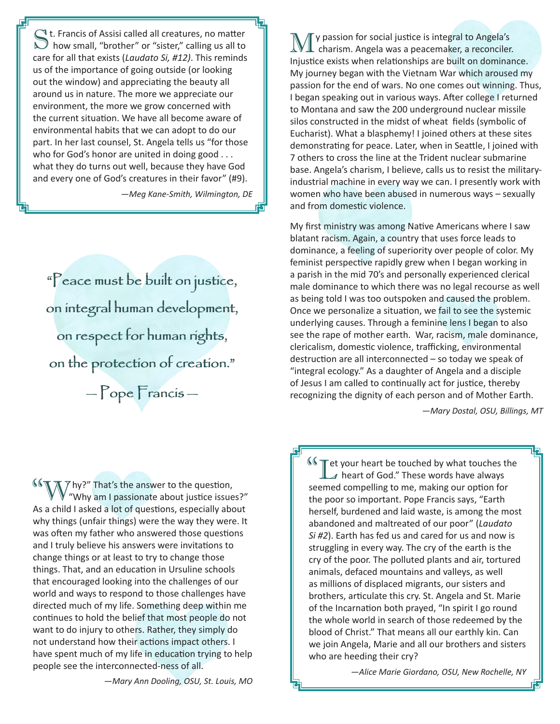$\bigcirc$  t. Francis of Assisi called all creatures, no matter  $\mathcal I$  how small, "brother" or "sister," calling us all to care for all that exists (*Laudato Si, #12)*. This reminds us of the importance of going outside (or looking out the window) and appreciating the beauty all around us in nature. The more we appreciate our environment, the more we grow concerned with the current situation. We have all become aware of environmental habits that we can adopt to do our part. In her last counsel, St. Angela tells us "for those who for God's honor are united in doing good . . . what they do turns out well, because they have God and every one of God's creatures in their favor" (#9).

*—Meg Kane-Smith, Wilmington, DE*

"Peace must be built on justice, on integral human development, "Peace must be built on justice,on integral human development, on respect for human rights, on respect for human rights, on the protection of creation." on the protection of creation."  $-\gamma$ ope  $\Gamma$ rancis —

My passion for social justice is integral to Angela's charism. Angela was a peacemaker, a reconciler. Injustice exists when relationships are built on dominance. My journey began with the Vietnam War which aroused my passion for the end of wars. No one comes out winning. Thus, I began speaking out in various ways. After college I returned to Montana and saw the 200 underground nuclear missile silos constructed in the midst of wheat fields (symbolic of Eucharist). What a blasphemy! I joined others at these sites demonstrating for peace. Later, when in Seattle, I joined with 7 others to cross the line at the Trident nuclear submarine base. Angela's charism, I believe, calls us to resist the militaryindustrial machine in every way we can. I presently work with women who have been abused in numerous ways – sexually and from domestic violence.

My first ministry was among Native Americans where I saw blatant racism. Again, a country that uses force leads to dominance, a feeling of superiority over people of color. My feminist perspective rapidly grew when I began working in a parish in the mid 70's and personally experienced clerical male dominance to which there was no legal recourse as well as being told I was too outspoken and caused the problem. Once we personalize a situation, we fail to see the systemic underlying causes. Through a feminine lens I began to also see the rape of mother earth. War, racism, male dominance, clericalism, domestic violence, trafficking, environmental destruction are all interconnected – so today we speak of "integral ecology." As a daughter of Angela and a disciple of Jesus I am called to continually act for justice, thereby recognizing the dignity of each person and of Mother Earth.

*—Mary Dostal, OSU, Billings, MT*

**T**  $\gamma$  hy?" That's the answer to the question, <sup>66</sup> Why?" That's the answer to the question,<br>"Why am I passionate about justice issues?" As a child I asked a lot of questions, especially about why things (unfair things) were the way they were. It was often my father who answered those questions and I truly believe his answers were invitations to change things or at least to try to change those things. That, and an education in Ursuline schools that encouraged looking into the challenges of our world and ways to respond to those challenges have directed much of my life. Something deep within me continues to hold the belief that most people do not want to do injury to others. Rather, they simply do not understand how their actions impact others. I have spent much of my life in education trying to help people see the interconnected-ness of all.

**Example 1** our heart be touched by what touches the heart of God." These words have always  $\blacktriangle$  heart of God." These words have always seemed compelling to me, making our option for the poor so important. Pope Francis says, "Earth herself, burdened and laid waste, is among the most abandoned and maltreated of our poor" (*Laudato Si #2*). Earth has fed us and cared for us and now is struggling in every way. The cry of the earth is the cry of the poor. The polluted plants and air, tortured animals, defaced mountains and valleys, as well as millions of displaced migrants, our sisters and brothers, articulate this cry. St. Angela and St. Marie of the Incarnation both prayed, "In spirit I go round the whole world in search of those redeemed by the blood of Christ." That means all our earthly kin. Can we join Angela, Marie and all our brothers and sisters who are heeding their cry?

*—Alice Marie Giordano, OSU, New Rochelle, NY*

*—Mary Ann Dooling, OSU, St. Louis, MO*